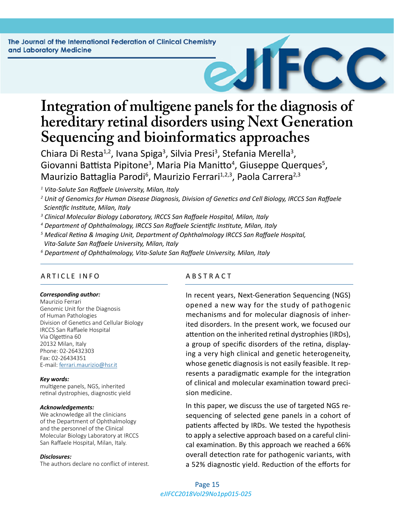# **Integration of multigene panels for the diagnosis of hereditary retinal disorders using Next Generation Sequencing and bioinformatics approaches**

Chiara Di Resta<sup>1,2</sup>, Ivana Spiga<sup>3</sup>, Silvia Presi<sup>3</sup>, Stefania Merella<sup>3</sup>, Giovanni Battista Pipitone<sup>3</sup>, Maria Pia Manitto<sup>4</sup>, Giuseppe Querques<sup>5</sup>, Maurizio Battaglia Parodi<sup>6</sup>, Maurizio Ferrari<sup>1,2,3</sup>, Paola Carrera<sup>2,3</sup>

*1 Vita-Salute San Raffaele University, Milan, Italy* 

- *2 Unit of Genomics for Human Disease Diagnosis, Division of Genetics and Cell Biology, IRCCS San Raffaele Scientific Institute, Milan, Italy*
- *3 Clinical Molecular Biology Laboratory, IRCCS San Raffaele Hospital, Milan, Italy*
- *4 Department of Ophthalmology, IRCCS San Raffaele Scientific Institute, Milan, Italy*
- *5 Medical Retina & Imaging Unit, Department of Ophthalmology IRCCS San Raffaele Hospital, Vita-Salute San Raffaele University, Milan, Italy*
- *6 Department of Ophthalmology, Vita-Salute San Raffaele University, Milan, Italy*

# ARTICLE INFO ABSTRACT

#### *Corresponding author:*

Maurizio Ferrari Genomic Unit for the Diagnosis of Human Pathologies Division of Genetics and Cellular Biology IRCCS San Raffaele Hospital Via Olgettina 60 20132 Milan, Italy Phone: 02-26432303 Fax: 02-26434351 E-mail: [ferrari.maurizio@hsr.it](mailto:ferrari.maurizio@hsr.it)

#### *Key words:*

multigene panels, NGS, inherited retinal dystrophies, diagnostic yield

#### *Acknowledgements:*

We acknowledge all the clinicians of the Department of Ophthalmology and the personnel of the Clinical Molecular Biology Laboratory at IRCCS San Raffaele Hospital, Milan, Italy.

#### *Disclosures:*

The authors declare no conflict of interest.

In recent years, Next-Generation Sequencing (NGS) opened a new way for the study of pathogenic mechanisms and for molecular diagnosis of inherited disorders. In the present work, we focused our attention on the inherited retinal dystrophies (IRDs), a group of specific disorders of the retina, displaying a very high clinical and genetic heterogeneity, whose genetic diagnosis is not easily feasible. It represents a paradigmatic example for the integration of clinical and molecular examination toward precision medicine.

In this paper, we discuss the use of targeted NGS resequencing of selected gene panels in a cohort of patients affected by IRDs. We tested the hypothesis to apply a selective approach based on a careful clinical examination. By this approach we reached a 66% overall detection rate for pathogenic variants, with a 52% diagnostic yield. Reduction of the efforts for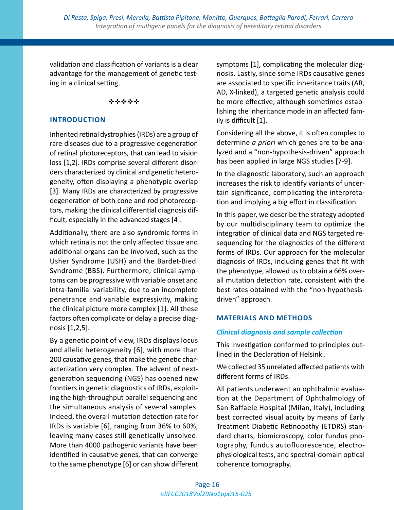validation and classification of variants is a clear advantage for the management of genetic testing in a clinical setting.

#### \*\*\*\*\*

#### **INTRODUCTION**

Inherited retinal dystrophies (IRDs) are a group of rare diseases due to a progressive degeneration of retinal photoreceptors, that can lead to vision loss [1,2]. IRDs comprise several different disorders characterized by clinical and genetic heterogeneity, often displaying a phenotypic overlap [3]. Many IRDs are characterized by progressive degeneration of both cone and rod photoreceptors, making the clinical differential diagnosis difficult, especially in the advanced stages [4].

Additionally, there are also syndromic forms in which retina is not the only affected tissue and additional organs can be involved, such as the Usher Syndrome (USH) and the Bardet-Biedl Syndrome (BBS). Furthermore, clinical symptoms can be progressive with variable onset and intra-familial variability, due to an incomplete penetrance and variable expressivity, making the clinical picture more complex [1]. All these factors often complicate or delay a precise diagnosis [1,2,5].

By a genetic point of view, IRDs displays locus and allelic heterogeneity [6], with more than 200 causative genes, that make the genetic characterization very complex. The advent of nextgeneration sequencing (NGS) has opened new frontiers in genetic diagnostics of IRDs, exploiting the high-throughput parallel sequencing and the simultaneous analysis of several samples. Indeed, the overall mutation detection rate for IRDs is variable [6], ranging from 36% to 60%, leaving many cases still genetically unsolved. More than 4000 pathogenic variants have been identified in causative genes, that can converge to the same phenotype [6] or can show different symptoms [1], complicating the molecular diagnosis. Lastly, since some IRDs causative genes are associated to specific inheritance traits (AR, AD, X-linked), a targeted genetic analysis could be more effective, although sometimes establishing the inheritance mode in an affected family is difficult [1].

Considering all the above, it is often complex to determine *a priori* which genes are to be analyzed and a "non-hypothesis-driven" approach has been applied in large NGS studies [7-9].

In the diagnostic laboratory, such an approach increases the risk to identify variants of uncertain significance, complicating the interpretation and implying a big effort in classification.

In this paper, we describe the strategy adopted by our multidisciplinary team to optimize the integration of clinical data and NGS targeted resequencing for the diagnostics of the different forms of IRDs. Our approach for the molecular diagnosis of IRDs, including genes that fit with the phenotype, allowed us to obtain a 66% overall mutation detection rate, consistent with the best rates obtained with the "non-hypothesisdriven" approach.

## **MATERIALS AND METHODS**

## *Clinical diagnosis and sample collection*

This investigation conformed to principles outlined in the Declaration of Helsinki.

We collected 35 unrelated affected patients with different forms of IRDs.

All patients underwent an ophthalmic evaluation at the Department of Ophthalmology of San Raffaele Hospital (Milan, Italy), including best corrected visual acuity by means of Early Treatment Diabetic Retinopathy (ETDRS) standard charts, biomicroscopy, color fundus photography, fundus autofluorescence, electrophysiological tests, and spectral-domain optical coherence tomography.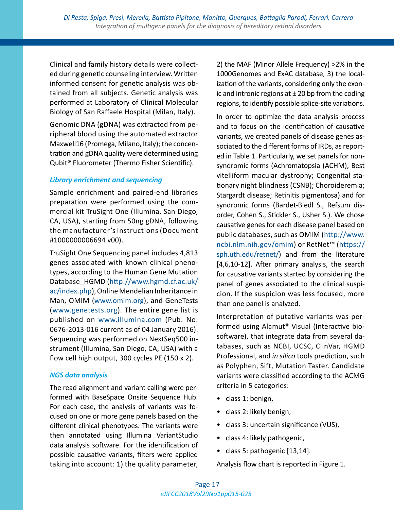Clinical and family history details were collected during genetic counseling interview. Written informed consent for genetic analysis was obtained from all subjects. Genetic analysis was performed at Laboratory of Clinical Molecular Biology of San Raffaele Hospital (Milan, Italy).

Genomic DNA (gDNA) was extracted from peripheral blood using the automated extractor Maxwell16 (Promega, Milano, Italy); the concentration and gDNA quality were determined using Qubit® Fluorometer (Thermo Fisher Scientific).

# *Library enrichment and sequencing*

Sample enrichment and paired-end libraries preparation were performed using the commercial kit TruSight One (Illumina, San Diego, CA, USA), starting from 50ng gDNA, following the manufacturer's instructions (Document #1000000006694 v00).

TruSight One Sequencing panel includes 4,813 genes associated with known clinical phenotypes, according to the Human Gene Mutation Database\_HGMD [\(http://www.hgmd.cf.ac.uk/](http://www.hgmd.cf.ac.uk/ac/index.php) [ac/index.php\)](http://www.hgmd.cf.ac.uk/ac/index.php), Online Mendelian Inheritance in Man, OMIM ([www.omim.org\)](http://www.omim.org), and GeneTests [\(www.genetests.org\)](http://www.genetests.org). The entire gene list is published on [www.illumina.com](http://www.illumina.com) (Pub. No. 0676-2013-016 current as of 04 January 2016). Sequencing was performed on NextSeq500 instrument (Illumina, San Diego, CA, USA) with a flow cell high output, 300 cycles PE (150 x 2).

# *NGS data analysis*

The read alignment and variant calling were performed with BaseSpace Onsite Sequence Hub. For each case, the analysis of variants was focused on one or more gene panels based on the different clinical phenotypes. The variants were then annotated using Illumina VariantStudio data analysis software. For the identification of possible causative variants, filters were applied taking into account: 1) the quality parameter, 2) the MAF (Minor Allele Frequency) >2% in the 1000Genomes and ExAC database, 3) the localization of the variants, considering only the exonic and intronic regions at  $\pm$  20 bp from the coding regions, to identify possible splice-site variations.

In order to optimize the data analysis process and to focus on the identification of causative variants, we created panels of disease genes associated to the different forms of IRDs, as reported in Table 1. Particularly, we set panels for nonsyndromic forms (Achromatopsia (ACHM); Best vitelliform macular dystrophy; Congenital stationary night blindness (CSNB); Choroideremia; Stargardt disease; Retinitis pigmentosa) and for syndromic forms (Bardet-Biedl S., Refsum disorder, Cohen S., Stickler S., Usher S.). We chose causative genes for each disease panel based on public databases, such as OMIM ([http://www.](http://www.ncbi.nlm.nih.gov/omim) [ncbi.nlm.nih.gov/omim\)](http://www.ncbi.nlm.nih.gov/omim) or RetNet™ [\(https://](https://sph.uth.edu/retnet/) [sph.uth.edu/retnet/](https://sph.uth.edu/retnet/)) and from the literature [4,6,10-12]. After primary analysis, the search for causative variants started by considering the panel of genes associated to the clinical suspicion. If the suspicion was less focused, more than one panel is analyzed.

Interpretation of putative variants was performed using Alamut® Visual (Interactive biosoftware), that integrate data from several databases, such as NCBI, UCSC, ClinVar, HGMD Professional, and *in silico* tools prediction, such as Polyphen, Sift, Mutation Taster. Candidate variants were classified according to the ACMG criteria in 5 categories:

- class 1: benign,
- class 2: likely benign,
- class 3: uncertain significance (VUS),
- class 4: likely pathogenic,
- class 5: pathogenic [13,14].

Analysis flow chart is reported in Figure 1.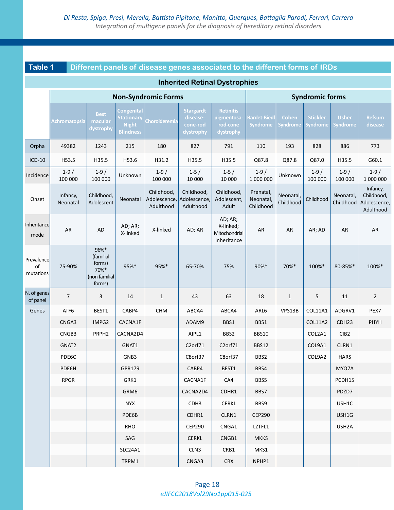**Table 1 Different panels of disease genes associated to the different forms of IRDs**

| <b>Inherited Retinal Dystrophies</b> |                      |                                                                |                                                                     |                                         |                                                       |                                                          |                                        |                                 |                                    |                                 |                                                     |  |
|--------------------------------------|----------------------|----------------------------------------------------------------|---------------------------------------------------------------------|-----------------------------------------|-------------------------------------------------------|----------------------------------------------------------|----------------------------------------|---------------------------------|------------------------------------|---------------------------------|-----------------------------------------------------|--|
|                                      |                      |                                                                |                                                                     | <b>Non-Syndromic Forms</b>              |                                                       |                                                          | <b>Syndromic forms</b>                 |                                 |                                    |                                 |                                                     |  |
|                                      | <b>Achromatopsia</b> | <b>Best</b><br>macular<br>dystrophy                            | Congenital<br><b>Stationary</b><br><b>Night</b><br><b>Blindness</b> | Choroideremia                           | <b>Stargardt</b><br>disease-<br>cone-rod<br>dystrophy | <b>Retinitis</b><br>pigmentosa-<br>rod-cone<br>dystrophy | <b>Bardet-Biedl</b><br><b>Syndrome</b> | <b>Cohen</b><br><b>Syndrome</b> | <b>Stickler</b><br><b>Syndrome</b> | <b>Usher</b><br><b>Syndrome</b> | <b>Refsum</b><br>disease                            |  |
| Orpha                                | 49382                | 1243                                                           | 215                                                                 | 180                                     | 827                                                   | 791                                                      | 110                                    | 193                             | 828                                | 886                             | 773                                                 |  |
| $ICD-10$                             | H53.5                | H35.5                                                          | H53.6                                                               | H31.2                                   | H35.5                                                 | H35.5                                                    | Q87.8                                  | Q87.8                           | Q87.0                              | H35.5                           | G60.1                                               |  |
| Incidence                            | $1-9/$<br>100 000    | $1-9/$<br>100 000                                              | Unknown                                                             | $1-9/$<br>100 000                       | $1-5/$<br>10 000                                      | $1-5/$<br>10 000                                         | $1-9/$<br>1 000 000                    | Unknown                         | $1-9/$<br>100 000                  | $1-9/$<br>100 000               | $1-9/$<br>1 000 000                                 |  |
| Onset                                | Infancy,<br>Neonatal | Childhood,<br>Adolescent                                       | Neonatal                                                            | Childhood,<br>Adolescence,<br>Adulthood | Childhood,<br>Adolescence,<br>Adulthood               | Childhood,<br>Adolescent,<br>Adult                       | Prenatal,<br>Neonatal,<br>Childhood    | Neonatal,<br>Childhood          | Childhood                          | Neonatal,<br>Childhood          | Infancy,<br>Childhood,<br>Adolescence,<br>Adulthood |  |
| Inheritance<br>mode                  | AR                   | <b>AD</b>                                                      | AD; AR;<br>X-linked                                                 | X-linked                                | AD; AR                                                | AD; AR;<br>X-linked;<br>Mitochondrial<br>inheritance     | AR                                     | AR                              | AR; AD                             | AR                              | AR                                                  |  |
| Prevalence<br>of<br>mutations        | 75-90%               | 96%*<br>(familial<br>forms)<br>70%*<br>(non familial<br>forms) | 95%*                                                                | 95%*                                    | 65-70%                                                | 75%                                                      | 90%*                                   | 70%*                            | 100%*                              | 80-85%*                         | 100%*                                               |  |
| N. of genes<br>of panel              | $\overline{7}$       | 3                                                              | 14                                                                  | $\mathbf{1}$                            | 43                                                    | 63                                                       | 18                                     | 1                               | 5                                  | 11                              | $\overline{2}$                                      |  |
| Genes                                | ATF6                 | BEST1                                                          | CABP4                                                               | CHM                                     | ABCA4                                                 | ABCA4                                                    | ARL6                                   | VPS13B                          | <b>COL11A1</b>                     | ADGRV1                          | PEX7                                                |  |
|                                      | CNGA3                | IMPG2                                                          | CACNA1F                                                             |                                         | ADAM9                                                 | BBS1                                                     | BBS1                                   |                                 | <b>COL11A2</b>                     | CDH <sub>23</sub>               | PHYH                                                |  |
|                                      | CNGB3                | PRPH <sub>2</sub>                                              | CACNA2D4                                                            |                                         | AIPL1                                                 | BBS2                                                     | <b>BBS10</b>                           |                                 | COL2A1                             | CIB <sub>2</sub>                |                                                     |  |
|                                      | GNAT2                |                                                                | GNAT1                                                               |                                         | C2orf71                                               | C2orf71                                                  | <b>BBS12</b>                           |                                 | COL9A1                             | CLRN1                           |                                                     |  |
|                                      | PDE6C                |                                                                | GNB3                                                                |                                         | C8orf37                                               | C8orf37                                                  | BBS2                                   |                                 | COL9A2                             | <b>HARS</b>                     |                                                     |  |
|                                      | PDE6H                |                                                                | GPR179                                                              |                                         | CABP4                                                 | BEST1                                                    | BBS4                                   |                                 |                                    | MYO7A                           |                                                     |  |
|                                      | <b>RPGR</b>          |                                                                | GRK1                                                                |                                         | CACNA1F                                               | CA4                                                      | BBS5                                   |                                 |                                    | PCDH15                          |                                                     |  |
|                                      |                      |                                                                | GRM6                                                                |                                         | CACNA2D4                                              | CDHR1                                                    | BBS7                                   |                                 |                                    | PDZD7                           |                                                     |  |
|                                      |                      |                                                                | NYX                                                                 |                                         | CDH3                                                  | <b>CERKL</b>                                             | BBS9                                   |                                 |                                    | USH1C                           |                                                     |  |
|                                      |                      |                                                                | PDE6B                                                               |                                         | CDHR1                                                 | CLRN1                                                    | <b>CEP290</b>                          |                                 |                                    | USH1G                           |                                                     |  |
|                                      |                      |                                                                | RHO                                                                 |                                         | <b>CEP290</b>                                         | CNGA1                                                    | LZTFL1                                 |                                 |                                    | USH <sub>2A</sub>               |                                                     |  |
|                                      |                      |                                                                | SAG                                                                 |                                         | <b>CERKL</b>                                          | CNGB1                                                    | <b>MKKS</b>                            |                                 |                                    |                                 |                                                     |  |
|                                      |                      |                                                                | SLC24A1                                                             |                                         | CLN3                                                  | CRB1                                                     | MKS1                                   |                                 |                                    |                                 |                                                     |  |
|                                      |                      |                                                                | TRPM1                                                               |                                         | CNGA3                                                 | <b>CRX</b>                                               | NPHP1                                  |                                 |                                    |                                 |                                                     |  |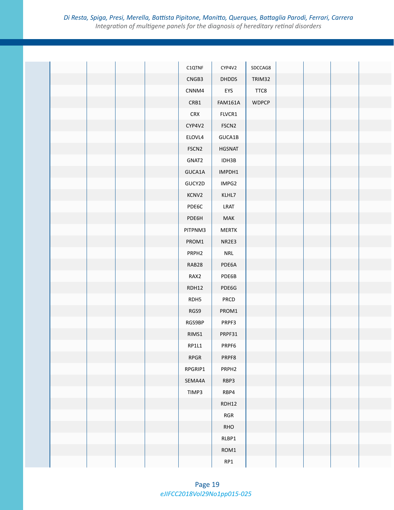|  |  | C1QTNF            | CYP4V2            | SDCCAG8      |  |  |
|--|--|-------------------|-------------------|--------------|--|--|
|  |  | CNGB3             | <b>DHDDS</b>      | TRIM32       |  |  |
|  |  | CNNM4             | EYS               | TTC8         |  |  |
|  |  | CRB1              | <b>FAM161A</b>    | <b>WDPCP</b> |  |  |
|  |  | <b>CRX</b>        | FLVCR1            |              |  |  |
|  |  | CYP4V2            | FSCN <sub>2</sub> |              |  |  |
|  |  | ELOVL4            | GUCA1B            |              |  |  |
|  |  | FSCN <sub>2</sub> | <b>HGSNAT</b>     |              |  |  |
|  |  | GNAT2             | IDH3B             |              |  |  |
|  |  | GUCA1A            | IMPDH1            |              |  |  |
|  |  | GUCY2D            | IMPG2             |              |  |  |
|  |  | KCNV2             | KLHL7             |              |  |  |
|  |  | PDE6C             | LRAT              |              |  |  |
|  |  | PDE6H             | MAK               |              |  |  |
|  |  | PITPNM3           | <b>MERTK</b>      |              |  |  |
|  |  | PROM1             | NR2E3             |              |  |  |
|  |  | PRPH <sub>2</sub> | <b>NRL</b>        |              |  |  |
|  |  | RAB28             | PDE6A             |              |  |  |
|  |  | RAX2              | PDE6B             |              |  |  |
|  |  | RDH12             | PDE6G             |              |  |  |
|  |  | RDH5              | PRCD              |              |  |  |
|  |  | RGS9              | PROM1             |              |  |  |
|  |  | RGS9BP            | PRPF3             |              |  |  |
|  |  | RIMS1             | PRPF31            |              |  |  |
|  |  | $R$ P1L1          | PRPF6             |              |  |  |
|  |  | RPGR              | PRPF8             |              |  |  |
|  |  | RPGRIP1           | PRPH <sub>2</sub> |              |  |  |
|  |  | SEMA4A            | RBP3              |              |  |  |
|  |  | TIMP3             | RBP4              |              |  |  |
|  |  |                   | RDH12             |              |  |  |
|  |  |                   | $RGR$             |              |  |  |
|  |  |                   | RHO               |              |  |  |
|  |  |                   | RLBP1             |              |  |  |
|  |  |                   | ROM1              |              |  |  |
|  |  |                   | RP1               |              |  |  |
|  |  |                   |                   |              |  |  |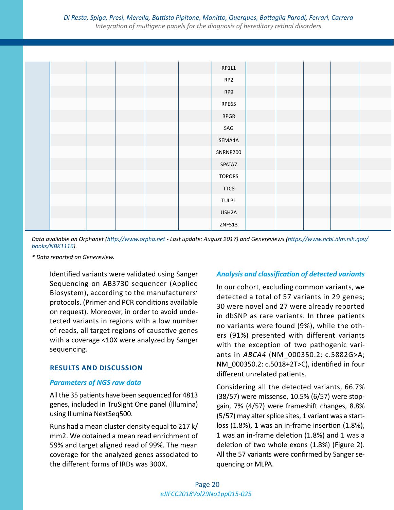|  |  |  | RP1L1           |  |  |  |
|--|--|--|-----------------|--|--|--|
|  |  |  | RP <sub>2</sub> |  |  |  |
|  |  |  | RP9             |  |  |  |
|  |  |  | RPE65           |  |  |  |
|  |  |  | <b>RPGR</b>     |  |  |  |
|  |  |  | SAG             |  |  |  |
|  |  |  | SEMA4A          |  |  |  |
|  |  |  | SNRNP200        |  |  |  |
|  |  |  | SPATA7          |  |  |  |
|  |  |  | <b>TOPORS</b>   |  |  |  |
|  |  |  | TTC8            |  |  |  |
|  |  |  | TULP1           |  |  |  |
|  |  |  | USH2A           |  |  |  |
|  |  |  | ZNF513          |  |  |  |

*Data available on Orphanet (<http://www.orpha.net> - Last update: August 2017) and Genereviews [\(https://www.ncbi.nlm.nih.gov/](https://www.ncbi.nlm.nih.gov/books/NBK1116) [books/NBK1116](https://www.ncbi.nlm.nih.gov/books/NBK1116)).*

*\* Data reported on Genereview.*

Identified variants were validated using Sanger Sequencing on AB3730 sequencer (Applied Biosystem), according to the manufacturers' protocols. (Primer and PCR conditions available on request). Moreover, in order to avoid undetected variants in regions with a low number of reads, all target regions of causative genes with a coverage <10X were analyzed by Sanger sequencing.

# **RESULTS AND DISCUSSION**

## *Parameters of NGS raw data*

All the 35 patients have been sequenced for 4813 genes, included in TruSight One panel (Illumina) using Illumina NextSeq500.

Runs had a mean cluster density equal to 217 k/ mm2. We obtained a mean read enrichment of 59% and target aligned read of 99%. The mean coverage for the analyzed genes associated to the different forms of IRDs was 300X.

# *Analysis and classification of detected variants*

In our cohort, excluding common variants, we detected a total of 57 variants in 29 genes; 30 were novel and 27 were already reported in dbSNP as rare variants. In three patients no variants were found (9%), while the others (91%) presented with different variants with the exception of two pathogenic variants in *ABCA4* (NM\_000350.2: c.5882G>A; NM\_000350.2: c.5018+2T>C), identified in four different unrelated patients.

Considering all the detected variants, 66.7% (38/57) were missense, 10.5% (6/57) were stopgain, 7% (4/57) were frameshift changes, 8.8% (5/57) may alter splice sites, 1 variant was a startloss (1.8%), 1 was an in-frame insertion (1.8%), 1 was an in-frame deletion (1.8%) and 1 was a deletion of two whole exons (1.8%) (Figure 2). All the 57 variants were confirmed by Sanger sequencing or MLPA.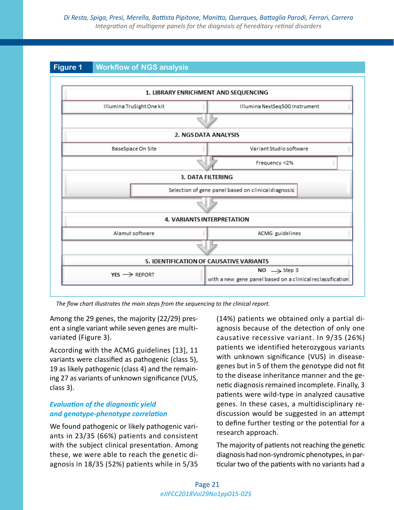# **Figure 1 Workflow of NGS analysis**

|                                                     | 1. LIBRARY ENRICHMENT AND SEQUENCING                                                  |  |  |  |  |
|-----------------------------------------------------|---------------------------------------------------------------------------------------|--|--|--|--|
| Illumina TruSight One kit                           | Illumina NextSeq500 Instrument                                                        |  |  |  |  |
|                                                     |                                                                                       |  |  |  |  |
|                                                     | 2. NGS DATA ANALYSIS                                                                  |  |  |  |  |
| BaseSpace On Site                                   | Variant Studio software                                                               |  |  |  |  |
|                                                     | Frequency <2%                                                                         |  |  |  |  |
|                                                     | <b>3. DATA FILTERING</b>                                                              |  |  |  |  |
| Selection of gene panel based on clinical diagnosis |                                                                                       |  |  |  |  |
|                                                     |                                                                                       |  |  |  |  |
|                                                     | <b>4. VARIANTS INTERPRETATION</b>                                                     |  |  |  |  |
| Alamut software                                     | ACMG guidelines                                                                       |  |  |  |  |
|                                                     |                                                                                       |  |  |  |  |
|                                                     | 5. IDENTIFICATION OF CAUSATIVE VARIANTS                                               |  |  |  |  |
| $YES \rightarrow REPORT$                            | NO $\rightarrow$ Step 3<br>with a new gene panel based on a clinical reclassification |  |  |  |  |

*The flow chart illustrates the main steps from the sequencing to the clinical report.*

Among the 29 genes, the majority (22/29) present a single variant while seven genes are multivariated (Figure 3).

According with the ACMG guidelines [13], 11 variants were classified as pathogenic (class 5), 19 as likely pathogenic (class 4) and the remaining 27 as variants of unknown significance (VUS, class 3).

# *Evaluation of the diagnostic yield and genotype-phenotype correlation*

We found pathogenic or likely pathogenic variants in 23/35 (66%) patients and consistent with the subject clinical presentation. Among these, we were able to reach the genetic diagnosis in 18/35 (52%) patients while in 5/35 (14%) patients we obtained only a partial diagnosis because of the detection of only one causative recessive variant. In 9/35 (26%) patients we identified heterozygous variants with unknown significance (VUS) in diseasegenes but in 5 of them the genotype did not fit to the disease inheritance manner and the genetic diagnosis remained incomplete. Finally, 3 patients were wild-type in analyzed causative genes. In these cases, a multidisciplinary rediscussion would be suggested in an attempt to define further testing or the potential for a research approach.

The majority of patients not reaching the genetic diagnosis had non-syndromic phenotypes, in particular two of the patients with no variants had a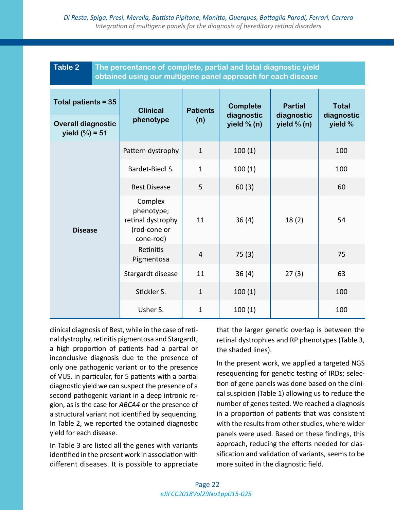| <b>Table 2</b>                               |  | The percentance of complete, partial and total diagnostic yield<br>obtained using our multigene panel approach for each disease |                 |                               |                              |                                       |  |  |  |  |  |
|----------------------------------------------|--|---------------------------------------------------------------------------------------------------------------------------------|-----------------|-------------------------------|------------------------------|---------------------------------------|--|--|--|--|--|
| Total patients = 35                          |  | <b>Clinical</b>                                                                                                                 | <b>Patients</b> | <b>Complete</b><br>diagnostic | <b>Partial</b><br>diagnostic | <b>Total</b><br>diagnostic<br>yield % |  |  |  |  |  |
| <b>Overall diagnostic</b><br>yield $(\%)=51$ |  | phenotype                                                                                                                       | (n)             | yield $% (n)$                 | yield $% (n)$                |                                       |  |  |  |  |  |
|                                              |  | Pattern dystrophy                                                                                                               | $\mathbf{1}$    | 100(1)                        |                              | 100                                   |  |  |  |  |  |
| <b>Disease</b>                               |  | Bardet-Biedl S.                                                                                                                 | $\mathbf{1}$    | 100(1)                        |                              | 100                                   |  |  |  |  |  |
|                                              |  | <b>Best Disease</b>                                                                                                             | 5               | 60(3)                         |                              | 60                                    |  |  |  |  |  |
|                                              |  | Complex<br>phenotype;<br>retinal dystrophy<br>(rod-cone or<br>cone-rod)                                                         | 11              | 36(4)                         | 18(2)                        | 54                                    |  |  |  |  |  |
|                                              |  | Retinitis<br>Pigmentosa                                                                                                         | $\overline{4}$  | 75(3)                         |                              | 75                                    |  |  |  |  |  |
|                                              |  | Stargardt disease                                                                                                               | 11              | 36(4)                         | 27(3)                        | 63                                    |  |  |  |  |  |
|                                              |  | Stickler S.                                                                                                                     | $\mathbf{1}$    | 100(1)                        |                              | 100                                   |  |  |  |  |  |
|                                              |  | Usher S.                                                                                                                        | $\mathbf{1}$    | 100(1)                        |                              | 100                                   |  |  |  |  |  |

clinical diagnosis of Best, while in the case of retinal dystrophy, retinitis pigmentosa and Stargardt, a high proportion of patients had a partial or inconclusive diagnosis due to the presence of only one pathogenic variant or to the presence of VUS. In particular, for 5 patients with a partial diagnostic yield we can suspect the presence of a second pathogenic variant in a deep intronic region, as is the case for *ABCA4* or the presence of a structural variant not identified by sequencing. In Table 2, we reported the obtained diagnostic yield for each disease.

In Table 3 are listed all the genes with variants identified in the present work in association with different diseases. It is possible to appreciate that the larger genetic overlap is between the retinal dystrophies and RP phenotypes (Table 3, the shaded lines).

In the present work, we applied a targeted NGS resequencing for genetic testing of IRDs; selection of gene panels was done based on the clinical suspicion (Table 1) allowing us to reduce the number of genes tested. We reached a diagnosis in a proportion of patients that was consistent with the results from other studies, where wider panels were used. Based on these findings, this approach, reducing the efforts needed for classification and validation of variants, seems to be more suited in the diagnostic field.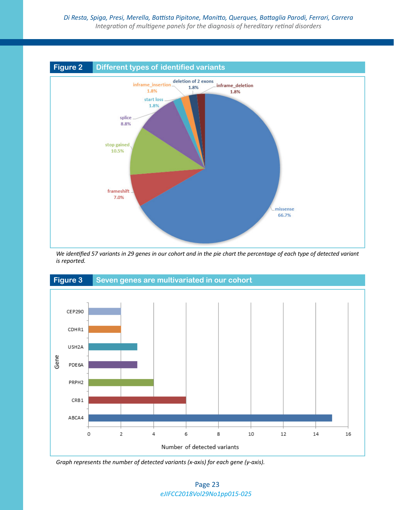

*We identified 57 variants in 29 genes in our cohort and in the pie chart the percentage of each type of detected variant is reported.*



*Graph represents the number of detected variants (x-axis) for each gene (y-axis).*

*eJIFCC2018Vol29No1pp015-025* Page 23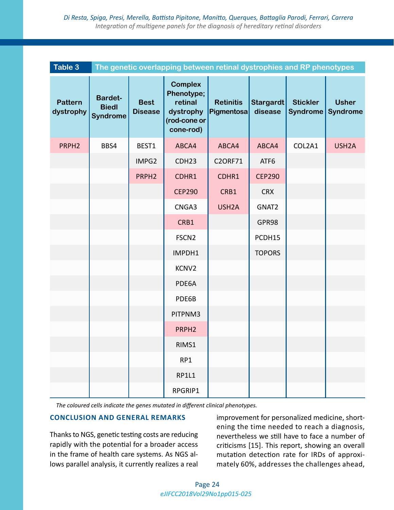| Table 3                     | The genetic overlapping between retinal dystrophies and RP phenotypes |                               |                                                                                   |                                |                             |                                    |                                 |  |  |  |  |
|-----------------------------|-----------------------------------------------------------------------|-------------------------------|-----------------------------------------------------------------------------------|--------------------------------|-----------------------------|------------------------------------|---------------------------------|--|--|--|--|
| <b>Pattern</b><br>dystrophy | <b>Bardet-</b><br><b>Biedl</b><br><b>Syndrome</b>                     | <b>Best</b><br><b>Disease</b> | <b>Complex</b><br>Phenotype;<br>retinal<br>dystrophy<br>(rod-cone or<br>cone-rod) | <b>Retinitis</b><br>Pigmentosa | <b>Stargardt</b><br>disease | <b>Stickler</b><br><b>Syndrome</b> | <b>Usher</b><br><b>Syndrome</b> |  |  |  |  |
| PRPH <sub>2</sub>           | BBS4                                                                  | BEST1                         | ABCA4                                                                             | ABCA4                          | ABCA4                       | COL2A1                             | USH <sub>2</sub> A              |  |  |  |  |
|                             |                                                                       | IMPG2                         | CDH <sub>23</sub>                                                                 | <b>C2ORF71</b>                 | ATF6                        |                                    |                                 |  |  |  |  |
|                             |                                                                       | PRPH <sub>2</sub>             | CDHR1                                                                             | CDHR1                          | <b>CEP290</b>               |                                    |                                 |  |  |  |  |
|                             |                                                                       |                               | <b>CEP290</b>                                                                     | CRB1                           | <b>CRX</b>                  |                                    |                                 |  |  |  |  |
|                             |                                                                       |                               | CNGA3                                                                             | USH <sub>2</sub> A             | GNAT2                       |                                    |                                 |  |  |  |  |
|                             |                                                                       |                               | CRB1                                                                              |                                | GPR98                       |                                    |                                 |  |  |  |  |
|                             |                                                                       |                               | FSCN <sub>2</sub>                                                                 |                                | PCDH15                      |                                    |                                 |  |  |  |  |
|                             |                                                                       |                               | IMPDH1                                                                            |                                | <b>TOPORS</b>               |                                    |                                 |  |  |  |  |
|                             |                                                                       |                               | KCNV2                                                                             |                                |                             |                                    |                                 |  |  |  |  |
|                             |                                                                       |                               | PDE6A                                                                             |                                |                             |                                    |                                 |  |  |  |  |
|                             |                                                                       |                               | PDE6B                                                                             |                                |                             |                                    |                                 |  |  |  |  |
|                             |                                                                       |                               | PITPNM3                                                                           |                                |                             |                                    |                                 |  |  |  |  |
|                             |                                                                       |                               | PRPH <sub>2</sub>                                                                 |                                |                             |                                    |                                 |  |  |  |  |
|                             |                                                                       |                               | RIMS1                                                                             |                                |                             |                                    |                                 |  |  |  |  |
|                             |                                                                       |                               | RP1                                                                               |                                |                             |                                    |                                 |  |  |  |  |
|                             |                                                                       |                               | <b>RP1L1</b>                                                                      |                                |                             |                                    |                                 |  |  |  |  |
|                             |                                                                       |                               | RPGRIP1                                                                           |                                |                             |                                    |                                 |  |  |  |  |

*The coloured cells indicate the genes mutated in different clinical phenotypes.*

## **CONCLUSION AND GENERAL REMARKS**

Thanks to NGS, genetic testing costs are reducing rapidly with the potential for a broader access in the frame of health care systems. As NGS allows parallel analysis, it currently realizes a real improvement for personalized medicine, shortening the time needed to reach a diagnosis, nevertheless we still have to face a number of criticisms [15]. This report, showing an overall mutation detection rate for IRDs of approximately 60%, addresses the challenges ahead,